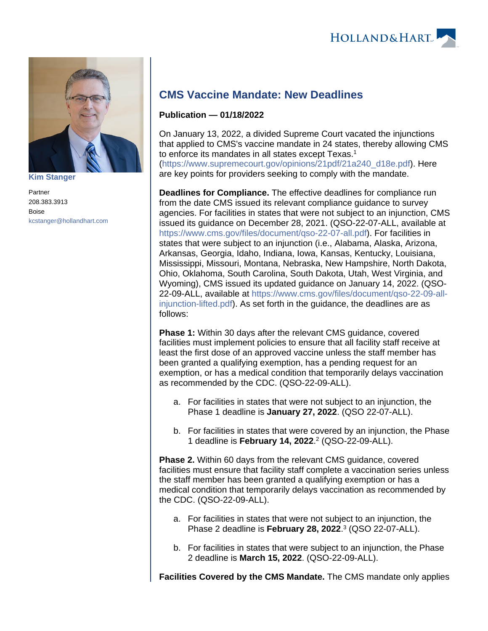

**[Kim Stanger](https://www.hollandhart.com/15954)**

Partner 208.383.3913 Boise [kcstanger@hollandhart.com](mailto:kcstanger@hollandhart.com)

## **CMS Vaccine Mandate: New Deadlines**

## **Publication — 01/18/2022**

On January 13, 2022, a divided Supreme Court vacated the injunctions that applied to CMS's vaccine mandate in 24 states, thereby allowing CMS to enforce its mandates in all states except Texas.<sup>1</sup> [\(https://www.supremecourt.gov/opinions/21pdf/21a240\\_d18e.pdf\)](https://www.supremecourt.gov/opinions/21pdf/21a240_d18e.pdf). Here are key points for providers seeking to comply with the mandate.

**Deadlines for Compliance.** The effective deadlines for compliance run from the date CMS issued its relevant compliance guidance to survey agencies. For facilities in states that were not subject to an injunction, CMS issued its guidance on December 28, 2021. (QSO-22-07-ALL, available at <https://www.cms.gov/files/document/qso-22-07-all.pdf>). For facilities in states that were subject to an injunction (i.e., Alabama, Alaska, Arizona, Arkansas, Georgia, Idaho, Indiana, Iowa, Kansas, Kentucky, Louisiana, Mississippi, Missouri, Montana, Nebraska, New Hampshire, North Dakota, Ohio, Oklahoma, South Carolina, South Dakota, Utah, West Virginia, and Wyoming), CMS issued its updated guidance on January 14, 2022. (QSO-22-09-ALL, available at [https://www.cms.gov/files/document/qso-22-09-all](https://www.cms.gov/files/document/qso-22-09-all-injunction-lifted.pdf)[injunction-lifted.pdf\)](https://www.cms.gov/files/document/qso-22-09-all-injunction-lifted.pdf). As set forth in the guidance, the deadlines are as follows:

**Phase 1:** Within 30 days after the relevant CMS guidance, covered facilities must implement policies to ensure that all facility staff receive at least the first dose of an approved vaccine unless the staff member has been granted a qualifying exemption, has a pending request for an exemption, or has a medical condition that temporarily delays vaccination as recommended by the CDC. (QSO-22-09-ALL).

- a. For facilities in states that were not subject to an injunction, the Phase 1 deadline is **January 27, 2022**. (QSO 22-07-ALL).
- b. For facilities in states that were covered by an injunction, the Phase 1 deadline is **February 14, 2022**. 2 (QSO-22-09-ALL).

**Phase 2.** Within 60 days from the relevant CMS guidance, covered facilities must ensure that facility staff complete a vaccination series unless the staff member has been granted a qualifying exemption or has a medical condition that temporarily delays vaccination as recommended by the CDC. (QSO-22-09-ALL).

- a. For facilities in states that were not subject to an injunction, the Phase 2 deadline is **February 28, 2022**. 3 (QSO 22-07-ALL).
- b. For facilities in states that were subject to an injunction, the Phase 2 deadline is **March 15, 2022**. (QSO-22-09-ALL).

**Facilities Covered by the CMS Mandate.** The CMS mandate only applies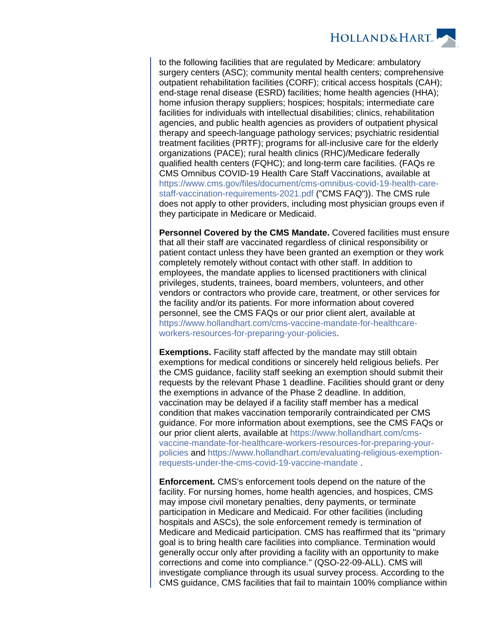

to the following facilities that are regulated by Medicare: ambulatory surgery centers (ASC); community mental health centers; comprehensive outpatient rehabilitation facilities (CORF); critical access hospitals (CAH); end-stage renal disease (ESRD) facilities; home health agencies (HHA); home infusion therapy suppliers; hospices; hospitals; intermediate care facilities for individuals with intellectual disabilities; clinics, rehabilitation agencies, and public health agencies as providers of outpatient physical therapy and speech-language pathology services; psychiatric residential treatment facilities (PRTF); programs for all-inclusive care for the elderly organizations (PACE); rural health clinics (RHC)/Medicare federally qualified health centers (FQHC); and long-term care facilities. (FAQs re CMS Omnibus COVID-19 Health Care Staff Vaccinations, available at [https://www.cms.gov/files/document/cms-omnibus-covid-19-health-care](https://www.cms.gov/files/document/cms-omnibus-covid-19-health-care-staff-vaccination-requirements-2021.pdf)[staff-vaccination-requirements-2021.pdf](https://www.cms.gov/files/document/cms-omnibus-covid-19-health-care-staff-vaccination-requirements-2021.pdf) ("CMS FAQ")). The CMS rule does not apply to other providers, including most physician groups even if they participate in Medicare or Medicaid.

**Personnel Covered by the CMS Mandate.** Covered facilities must ensure that all their staff are vaccinated regardless of clinical responsibility or patient contact unless they have been granted an exemption or they work completely remotely without contact with other staff. In addition to employees, the mandate applies to licensed practitioners with clinical privileges, students, trainees, board members, volunteers, and other vendors or contractors who provide care, treatment, or other services for the facility and/or its patients. For more information about covered personnel, see the CMS FAQs or our prior client alert, available at [https://www.hollandhart.com/cms-vaccine-mandate-for-healthcare](https://www.hollandhart.com/cms-vaccine-mandate-for-healthcare-workers-resources-for-preparing-your-policies)[workers-resources-for-preparing-your-policies](https://www.hollandhart.com/cms-vaccine-mandate-for-healthcare-workers-resources-for-preparing-your-policies).

**Exemptions.** Facility staff affected by the mandate may still obtain exemptions for medical conditions or sincerely held religious beliefs. Per the CMS guidance, facility staff seeking an exemption should submit their requests by the relevant Phase 1 deadline. Facilities should grant or deny the exemptions in advance of the Phase 2 deadline. In addition, vaccination may be delayed if a facility staff member has a medical condition that makes vaccination temporarily contraindicated per CMS guidance. For more information about exemptions, see the CMS FAQs or our prior client alerts, available at [https://www.hollandhart.com/cms](https://www.hollandhart.com/cms-vaccine-mandate-for-healthcare-workers-resources-for-preparing-your-policies)[vaccine-mandate-for-healthcare-workers-resources-for-preparing-your](https://www.hollandhart.com/cms-vaccine-mandate-for-healthcare-workers-resources-for-preparing-your-policies)[policies](https://www.hollandhart.com/cms-vaccine-mandate-for-healthcare-workers-resources-for-preparing-your-policies) and [https://www.hollandhart.com/evaluating-religious-exemption](https://www.hollandhart.com/evaluating-religious-exemption-requests-under-the-cms-covid-19-vaccine-mandate)[requests-under-the-cms-covid-19-vaccine-mandate](https://www.hollandhart.com/evaluating-religious-exemption-requests-under-the-cms-covid-19-vaccine-mandate) .

**Enforcement.** CMS's enforcement tools depend on the nature of the facility. For nursing homes, home health agencies, and hospices, CMS may impose civil monetary penalties, deny payments, or terminate participation in Medicare and Medicaid. For other facilities (including hospitals and ASCs), the sole enforcement remedy is termination of Medicare and Medicaid participation. CMS has reaffirmed that its "primary goal is to bring health care facilities into compliance. Termination would generally occur only after providing a facility with an opportunity to make corrections and come into compliance." (QSO-22-09-ALL). CMS will investigate compliance through its usual survey process. According to the CMS guidance, CMS facilities that fail to maintain 100% compliance within